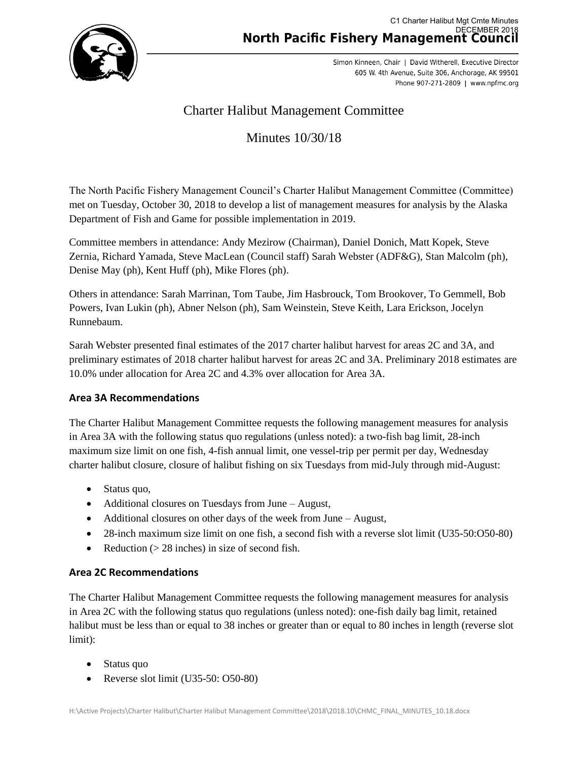

Simon Kinneen, Chair | David Witherell, Executive Director 605 W. 4th Avenue, Suite 306, Anchorage, AK 99501 Phone 907-271-2809 | www.npfmc.org

# Charter Halibut Management Committee

# Minutes 10/30/18

The North Pacific Fishery Management Council's Charter Halibut Management Committee (Committee) met on Tuesday, October 30, 2018 to develop a list of management measures for analysis by the Alaska Department of Fish and Game for possible implementation in 2019.

Committee members in attendance: Andy Mezirow (Chairman), Daniel Donich, Matt Kopek, Steve Zernia, Richard Yamada, Steve MacLean (Council staff) Sarah Webster (ADF&G), Stan Malcolm (ph), Denise May (ph), Kent Huff (ph), Mike Flores (ph).

Others in attendance: Sarah Marrinan, Tom Taube, Jim Hasbrouck, Tom Brookover, To Gemmell, Bob Powers, Ivan Lukin (ph), Abner Nelson (ph), Sam Weinstein, Steve Keith, Lara Erickson, Jocelyn Runnebaum.

Sarah Webster presented final estimates of the 2017 charter halibut harvest for areas 2C and 3A, and preliminary estimates of 2018 charter halibut harvest for areas 2C and 3A. Preliminary 2018 estimates are 10.0% under allocation for Area 2C and 4.3% over allocation for Area 3A.

### **Area 3A Recommendations**

The Charter Halibut Management Committee requests the following management measures for analysis in Area 3A with the following status quo regulations (unless noted): a two-fish bag limit, 28-inch maximum size limit on one fish, 4-fish annual limit, one vessel-trip per permit per day, Wednesday charter halibut closure, closure of halibut fishing on six Tuesdays from mid-July through mid-August:

- Status quo,
- Additional closures on Tuesdays from June August,
- Additional closures on other days of the week from June August,
- 28-inch maximum size limit on one fish, a second fish with a reverse slot limit (U35-50:O50-80)
- Reduction  $(> 28$  inches) in size of second fish.

### **Area 2C Recommendations**

The Charter Halibut Management Committee requests the following management measures for analysis in Area 2C with the following status quo regulations (unless noted): one-fish daily bag limit, retained halibut must be less than or equal to 38 inches or greater than or equal to 80 inches in length (reverse slot limit):

- Status quo
- Reverse slot limit (U35-50: O50-80)